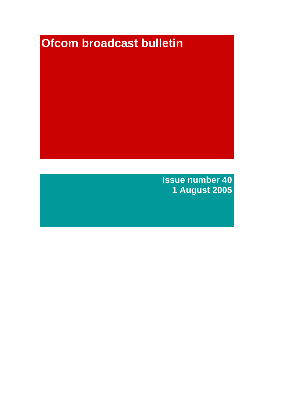# **Ofcom broadcast bulletin**

**Issue number 40 1 August 2005**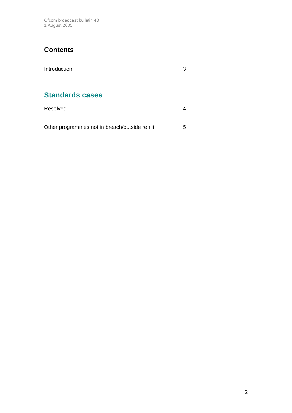Ofcom broadcast bulletin 40 1 August 2005

# **Contents**

| Introduction           | 3 |
|------------------------|---|
| <b>Standards cases</b> |   |
| Resolved               |   |

Other programmes not in breach/outside remit 5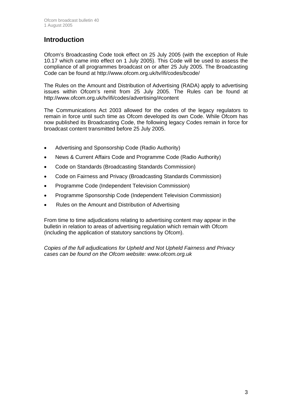# **Introduction**

Ofcom's Broadcasting Code took effect on 25 July 2005 (with the exception of Rule 10.17 which came into effect on 1 July 2005). This Code will be used to assess the compliance of all programmes broadcast on or after 25 July 2005. The Broadcasting Code can be found at http://www.ofcom.org.uk/tv/ifi/codes/bcode/

The Rules on the Amount and Distribution of Advertising (RADA) apply to advertising issues within Ofcom's remit from 25 July 2005. The Rules can be found at http://www.ofcom.org.uk/tv/ifi/codes/advertising/#content

The Communications Act 2003 allowed for the codes of the legacy regulators to remain in force until such time as Ofcom developed its own Code. While Ofcom has now published its Broadcasting Code, the following legacy Codes remain in force for broadcast content transmitted before 25 July 2005.

- Advertising and Sponsorship Code (Radio Authority)
- News & Current Affairs Code and Programme Code (Radio Authority)
- Code on Standards (Broadcasting Standards Commission)
- Code on Fairness and Privacy (Broadcasting Standards Commission)
- Programme Code (Independent Television Commission)
- Programme Sponsorship Code (Independent Television Commission)
- Rules on the Amount and Distribution of Advertising

From time to time adjudications relating to advertising content may appear in the bulletin in relation to areas of advertising regulation which remain with Ofcom (including the application of statutory sanctions by Ofcom).

*Copies of the full adjudications for Upheld and Not Upheld Fairness and Privacy cases can be found on the Ofcom website: www.ofcom.org.uk*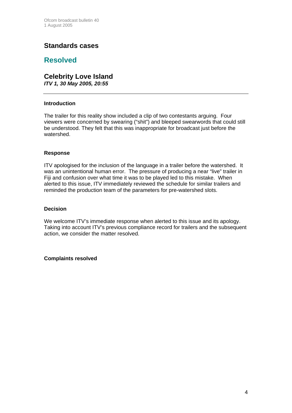## **Standards cases**

## **Resolved**

# **Celebrity Love Island**

*ITV 1, 30 May 2005, 20:55*

#### **Introduction**

The trailer for this reality show included a clip of two contestants arguing. Four viewers were concerned by swearing ("shit") and bleeped swearwords that could still be understood. They felt that this was inappropriate for broadcast just before the watershed.

#### **Response**

ITV apologised for the inclusion of the language in a trailer before the watershed. It was an unintentional human error. The pressure of producing a near "live" trailer in Fiji and confusion over what time it was to be played led to this mistake. When alerted to this issue, ITV immediately reviewed the schedule for similar trailers and reminded the production team of the parameters for pre-watershed slots.

#### **Decision**

We welcome ITV's immediate response when alerted to this issue and its apology. Taking into account ITV's previous compliance record for trailers and the subsequent action, we consider the matter resolved.

#### **Complaints resolved**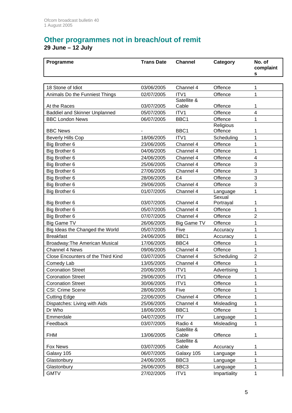## **Other programmes not in breach/out of remit 29 June – 12 July**

| Programme                            | <b>Trans Date</b> | <b>Channel</b>       | Category            | No. of<br>complaint<br>s |
|--------------------------------------|-------------------|----------------------|---------------------|--------------------------|
|                                      |                   |                      |                     |                          |
| 18 Stone of Idiot                    | 03/06/2005        | Channel 4            | Offence             | 1                        |
| Animals Do the Funniest Things       | 02/07/2005        | ITV1                 | Offence             | 1                        |
| At the Races                         | 03/07/2005        | Satellite &<br>Cable | Offence             | 1                        |
| <b>Baddiel and Skinner Unplanned</b> | 05/07/2005        | ITV1                 | Offence             | 4                        |
| <b>BBC London News</b>               | 06/07/2005        | BBC1                 | Offence             | 1                        |
|                                      |                   |                      | Religious           |                          |
| <b>BBC News</b>                      |                   | BBC1                 | Offence             | 1                        |
| <b>Beverly Hills Cop</b>             | 18/06/2005        | ITV <sub>1</sub>     | Scheduling          | 1                        |
| Big Brother 6                        | 23/06/2005        | Channel 4            | Offence             | 1                        |
| Big Brother 6                        | 04/06/2005        | Channel 4            | Offence             | 1                        |
| Big Brother 6                        | 24/06/2005        | Channel 4            | Offence             | 4                        |
| Big Brother 6                        | 25/06/2005        | Channel 4            | Offence             | 3                        |
| Big Brother 6                        | 27/06/2005        | Channel 4            | Offence             | 3                        |
| Big Brother 6                        | 28/06/2005        | E <sub>4</sub>       | Offence             | 3                        |
| Big Brother 6                        | 29/06/2005        | Channel 4            | Offence             | 3                        |
| Big Brother 6                        | 01/07/2005        | Channel 4            | Language            | 1                        |
| Big Brother 6                        | 03/07/2005        | Channel 4            | Sexual<br>Portrayal | 1                        |
| Big Brother 6                        | 05/07/2005        | Channel 4            | Offence             | $\mathbf 1$              |
| Big Brother 6                        | 07/07/2005        | Channel 4            | Offence             | $\overline{2}$           |
| <b>Big Game TV</b>                   | 26/06/2005        | <b>Big Game TV</b>   | Offence             | 1                        |
| Big Ideas the Changed the World      | 05/07/2005        | Five                 | Accuracy            | 1                        |
| <b>Breakfast</b>                     | 24/06/2005        | BBC1                 | Accuracy            | 1                        |
| Broadway: The American Musical       | 17/06/2005        | BBC4                 | Offence             | 1                        |
| <b>Channel 4 News</b>                | 09/06/2005        | Channel 4            | Offence             | 1                        |
| Close Encounters of the Third Kind   | 03/07/2005        | Channel 4            | Scheduling          | $\overline{2}$           |
| Comedy Lab                           | 13/05/2005        | Channel 4            | Offence             | 1                        |
| <b>Coronation Street</b>             | 20/06/2005        | ITV1                 | Advertising         | 1                        |
| <b>Coronation Street</b>             | 29/06/2005        | ITV1                 | Offence             | 1                        |
| <b>Coronation Street</b>             | 30/06/2005        | ITV <sub>1</sub>     | Offence             | 1                        |
| CSI: Crime Scene                     | 28/06/2005        | Five                 | Offence             | 1                        |
| <b>Cutting Edge</b>                  | 22/06/2005        | Channel 4            | Offence             | 1                        |
| Dispatches: Living with Aids         | 25/06/2005        | Channel 4            | Misleading          | 1                        |
| Dr Who                               | 18/06/2005        | BBC1                 | Offence             | 1                        |
| Emmerdale                            | 04/07/2005        | <b>ITV</b>           | Language            | 1                        |
| Feedback                             | 03/07/2005        | Radio 4              | Misleading          | 1                        |
| <b>FHM</b>                           | 13/06/2005        | Satellite &<br>Cable | Offence             | 1                        |
| Fox News                             | 03/07/2005        | Satellite &<br>Cable | Accuracy            | 1                        |
| Galaxy 105                           | 06/07/2005        | Galaxy 105           | Language            | 1                        |
| Glastonbury                          | 24/06/2005        | BBC <sub>3</sub>     | Language            | 1                        |
| Glastonbury                          | 26/06/2005        | BBC <sub>3</sub>     | Language            | 1                        |
| <b>GMTV</b>                          | 27/02/2005        | ITV1                 | Impartiality        | 1                        |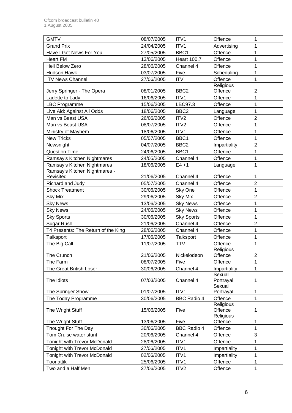| <b>GMTV</b>                         | 08/07/2005 | ITV1               | Offence             | 1              |
|-------------------------------------|------------|--------------------|---------------------|----------------|
| <b>Grand Prix</b>                   | 24/04/2005 | ITV1               | Advertising         | 1              |
| Have I Got News For You             | 27/05/2005 | BBC1               | Offence             | 1              |
| <b>Heart FM</b>                     | 13/06/2005 | <b>Heart 100.7</b> | Offence             | 1              |
| <b>Hell Below Zero</b>              | 28/06/2005 | Channel 4          | Offence             | 1              |
| Hudson Hawk                         | 03/07/2005 | Five               | Scheduling          | 1              |
| <b>ITV News Channel</b>             | 27/06/2005 | <b>ITV</b>         | Offence             | 1              |
|                                     |            |                    | Religious           |                |
| Jerry Springer - The Opera          | 08/01/2005 | BBC <sub>2</sub>   | Offence             | 2              |
| Ladette to Lady                     | 16/06/2005 | ITV1               | Offence             | 1              |
| <b>LBC Programme</b>                | 15/06/2005 | LBC97.3            | Offence             | $\overline{1}$ |
| Live Aid: Against All Odds          | 18/06/2005 | BBC <sub>2</sub>   | Language            | 1              |
| Man vs Beast USA                    | 26/06/2005 | ITV <sub>2</sub>   | Offence             | $\overline{2}$ |
| Man vs Beast USA                    | 08/07/2005 | ITV <sub>2</sub>   | Offence             | 1              |
| Ministry of Mayhem                  | 18/06/2005 | ITV1               | Offence             | 1              |
| <b>New Tricks</b>                   | 05/07/2005 | BBC1               | Offence             | 1              |
| Newsnight                           | 04/07/2005 | BBC <sub>2</sub>   | Impartiality        | $\overline{2}$ |
| <b>Question Time</b>                | 24/06/2005 | BBC1               | Offence             | 1              |
| Ramsay's Kitchen Nightmares         | 24/05/2005 | Channel 4          | Offence             | 1              |
| Ramsay's Kitchen Nightmares         | 18/06/2005 | $E4 + 1$           | Language            | 1              |
| Ramsay's Kitchen Nightmares -       |            |                    |                     |                |
| Revisited                           | 21/06/2005 | Channel 4          | Offence             | 1              |
| Richard and Judy                    | 05/07/2005 | Channel 4          | Offence             | $\overline{2}$ |
| <b>Shock Treatment</b>              | 30/06/2005 | Sky One            | Offence             | 1              |
| <b>Sky Mix</b>                      | 29/06/2005 | <b>Sky Mix</b>     | Offence             | 2              |
| <b>Sky News</b>                     | 13/06/2005 | <b>Sky News</b>    | Offence             | 1              |
| <b>Sky News</b>                     | 24/06/2005 | <b>Sky News</b>    | Offence             | 1              |
| <b>Sky Sports</b>                   | 30/06/2005 | <b>Sky Sports</b>  | Offence             | 1              |
| Sugar Rush                          | 21/06/2005 | Channel 4          | Offence             | $\overline{2}$ |
| T4 Presents: The Return of the King | 28/06/2005 | Channel 4          | Offence             | 1              |
| Talksport                           | 17/06/2005 | Talksport          | Offence             | 1              |
| The Big Call                        | 11/07/2005 | <b>TTV</b>         | Offence             | 1              |
|                                     |            |                    | Religious           |                |
| The Crunch                          | 21/06/2005 | Nickelodeon        | Offence             | 2              |
| The Farm                            | 08/07/2005 | Five               | Offence             | 1              |
| The Great British Loser             | 30/06/2005 | Channel 4          | Impartiality        | 1              |
|                                     |            |                    | Sexual              |                |
| The Idiots                          | 07/03/2005 | Channel 4          | Portrayal<br>Sexual | 1              |
| The Springer Show                   | 01/07/2005 | ITV1               | Portrayal           | 1              |
| The Today Programme                 | 30/06/2005 | <b>BBC Radio 4</b> | Offence             | 1              |
|                                     |            |                    | Religious           |                |
| The Wright Stuff                    | 15/06/2005 | Five               | Offence             | 1              |
|                                     |            |                    | Religious           |                |
| The Wright Stuff                    | 13/06/2005 | Five               | Offence             | 1              |
| Thought For The Day                 | 30/06/2005 | <b>BBC Radio 4</b> | Offence             | 1              |
| Tom Cruise water stunt              | 20/06/2005 | Channel 4          | Offence             | 3              |
| <b>Tonight with Trevor McDonald</b> | 28/06/2005 | ITV1               | Offence             | 1              |
| Tonight with Trevor McDonald        | 27/06/2005 | ITV1               | Impartiality        | 1              |
| Tonight with Trevor McDonald        | 02/06/2005 | ITV1               | Impartiality        | 1              |
| Toonattik                           | 25/06/2005 | ITV1               | Offence             | 1              |
| Two and a Half Men                  | 27/06/2005 | ITV <sub>2</sub>   | Offence             | 1              |